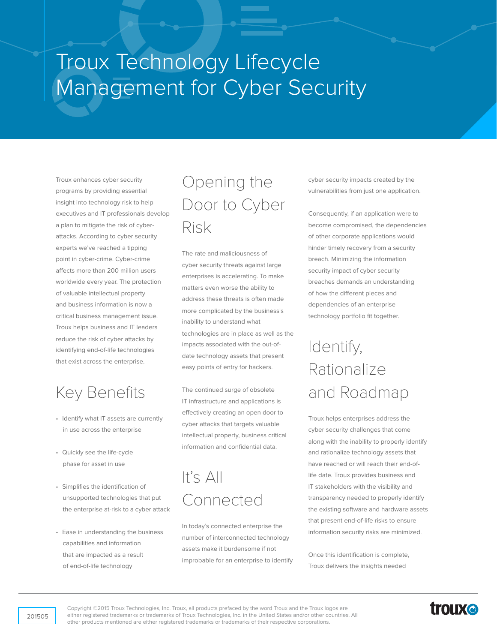# Troux Technology Lifecycle Management for Cyber Security

Troux enhances cyber security programs by providing essential insight into technology risk to help executives and IT professionals develop a plan to mitigate the risk of cyberattacks. According to cyber security experts we've reached a tipping point in cyber-crime. Cyber-crime affects more than 200 million users worldwide every year. The protection of valuable intellectual property and business information is now a critical business management issue. Troux helps business and IT leaders reduce the risk of cyber attacks by identifying end-of-life technologies that exist across the enterprise.

#### Key Benefits

- Identify what IT assets are currently in use across the enterprise
- Quickly see the life-cycle phase for asset in use
- Simplifies the identification of unsupported technologies that put the enterprise at-risk to a cyber attack
- Ease in understanding the business capabilities and information that are impacted as a result of end-of-life technology

#### Opening the Door to Cyber Risk

The rate and maliciousness of cyber security threats against large enterprises is accelerating. To make matters even worse the ability to address these threats is often made more complicated by the business's inability to understand what technologies are in place as well as the impacts associated with the out-ofdate technology assets that present easy points of entry for hackers.

The continued surge of obsolete IT infrastructure and applications is effectively creating an open door to cyber attacks that targets valuable intellectual property, business critical information and confidential data.

## It's All Connected

In today's connected enterprise the number of interconnected technology assets make it burdensome if not improbable for an enterprise to identify cyber security impacts created by the vulnerabilities from just one application.

Consequently, if an application were to become compromised, the dependencies of other corporate applications would hinder timely recovery from a security breach. Minimizing the information security impact of cyber security breaches demands an understanding of how the different pieces and dependencies of an enterprise technology portfolio fit together.

## Identify, Rationalize and Roadmap

Troux helps enterprises address the cyber security challenges that come along with the inability to properly identify and rationalize technology assets that have reached or will reach their end-oflife date. Troux provides business and IT stakeholders with the visibility and transparency needed to properly identify the existing software and hardware assets that present end-of-life risks to ensure information security risks are minimized.

Once this identification is complete, Troux delivers the insights needed

Copyright ©2015 Troux Technologies, Inc. Troux, all products prefaced by the word Troux and the Troux logos are either registered trademarks or trademarks of Troux Technologies, Inc. in the United States and/or other countries. All other products mentioned are either registered trademarks or trademarks of their respective corporations.